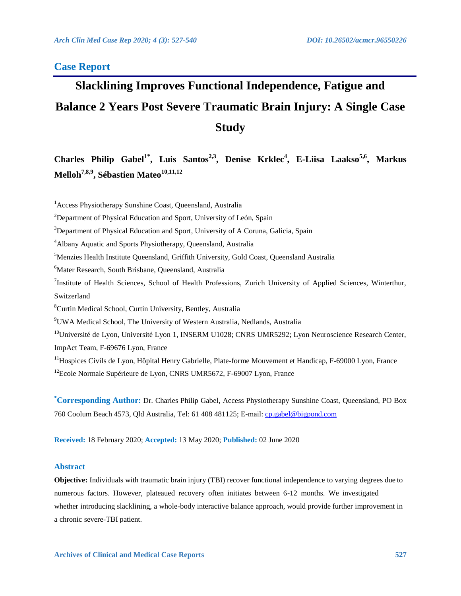# **Case Report**

# **Slacklining Improves Functional Independence, Fatigue and Balance 2 Years Post Severe Traumatic Brain Injury: A Single Case Study**

Charles Philip Gabel<sup>1\*</sup>, Luis Santos<sup>2,3</sup>, Denise Krklec<sup>4</sup>, E-Liisa Laakso<sup>5,6</sup>, Markus **Melloh<sup>7,8,9</sup>, Sébastien Mateo<sup>10,11,12</sup>** 

<sup>2</sup>Department of Physical Education and Sport, University of León, Spain

- <sup>4</sup> Albany Aquatic and Sports Physiotherapy, Queensland, Australia
- 5 Menzies Health Institute Queensland, Griffith University, Gold Coast, Queensland Australia
- 6 Mater Research, South Brisbane, Queensland, Australia
- <sup>7</sup>Institute of Health Sciences, School of Health Professions, Zurich University of Applied Sciences, Winterthur, Switzerland
- 8 Curtin Medical School, Curtin University, Bentley, Australia
- 9 UWA Medical School, The University of Western Australia, Nedlands, Australia
- <sup>10</sup>Université de Lyon, Université Lyon 1, INSERM U1028; CNRS UMR5292; Lyon Neuroscience Research Center, ImpAct Team, F-69676 Lyon, France
- <sup>11</sup>Hospices Civils de Lyon, Hôpital Henry Gabrielle, Plate-forme Mouvement et Handicap, F-69000 Lyon, France <sup>12</sup> Ecole Normale Supérieure de Lyon, CNRS UMR5672, F-69007 Lyon, France

**\* Corresponding Author:** Dr. Charles Philip Gabel, Access Physiotherapy Sunshine Coast, Queensland, PO Box 760 Coolum Beach 4573, Qld Australia, Tel: 61 408 481125; E-mail: [cp.gabel@bigpond.com](mailto:cp.gabel@bigpond.com) 

**Received:** 18 February 2020; **Accepted:** 13 May 2020; **Published:** 02 June 2020

# **Abstract**

**Objective:** Individuals with traumatic brain injury (TBI) recover functional independence to varying degrees due to numerous factors. However, plateaued recovery often initiates between 6-12 months. We investigated whether introducing slacklining, a whole-body interactive balance approach, would provide further improvement in a chronic severe-TBI patient.

<sup>&</sup>lt;sup>1</sup> Access Physiotherapy Sunshine Coast, Queensland, Australia

<sup>&</sup>lt;sup>3</sup>Department of Physical Education and Sport, University of A Coruna, Galicia, Spain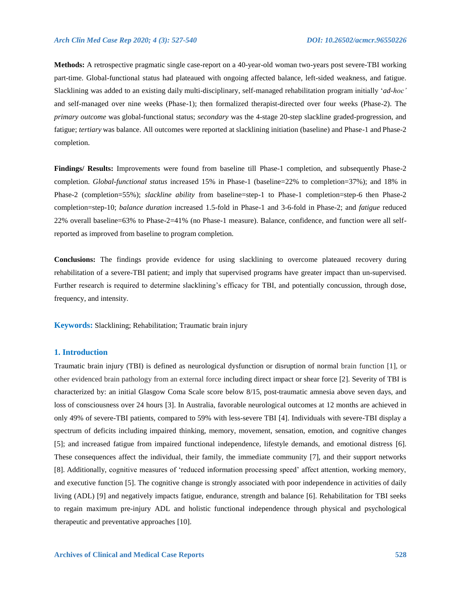**Methods:** A retrospective pragmatic single case-report on a 40-year-old woman two-years post severe-TBI working part-time. Global-functional status had plateaued with ongoing affected balance, left-sided weakness, and fatigue. Slacklining was added to an existing daily multi-disciplinary, self-managed rehabilitation program initially '*ad-hoc'*  and self-managed over nine weeks (Phase-1); then formalized therapist-directed over four weeks (Phase-2). The *primary outcome* was global-functional status; *secondary* was the 4-stage 20-step slackline graded-progression, and fatigue; *tertiary* was balance. All outcomes were reported at slacklining initiation (baseline) and Phase-1 and Phase-2 completion.

**Findings/ Results:** Improvements were found from baseline till Phase-1 completion, and subsequently Phase-2 completion. *Global-functional status* increased 15% in Phase-1 (baseline=22% to completion=37%); and 18% in Phase-2 (completion=55%); *slackline ability* from baseline=step-1 to Phase-1 completion=step-6 then Phase-2 completion=step-10; *balance duration* increased 1.5-fold in Phase-1 and 3-6-fold in Phase-2; and *fatigue* reduced 22% overall baseline=63% to Phase-2=41% (no Phase-1 measure). Balance, confidence, and function were all selfreported as improved from baseline to program completion.

**Conclusions:** The findings provide evidence for using slacklining to overcome plateaued recovery during rehabilitation of a severe-TBI patient; and imply that supervised programs have greater impact than un-supervised. Further research is required to determine slacklining's efficacy for TBI, and potentially concussion, through dose, frequency, and intensity.

**Keywords:** Slacklining; Rehabilitation; Traumatic brain injury

# **1. Introduction**

Traumatic brain injury (TBI) is defined as neurological dysfunction or disruption of normal brain function [1], or other evidenced brain pathology from an external force including direct impact or shear force [2]. Severity of TBI is characterized by: an initial Glasgow Coma Scale score below 8/15, post-traumatic amnesia above seven days, and loss of consciousness over 24 hours [3]. In Australia, favorable neurological outcomes at 12 months are achieved in only 49% of severe-TBI patients, compared to 59% with less-severe TBI [4]. Individuals with severe-TBI display a spectrum of deficits including impaired thinking, memory, movement, sensation, emotion, and cognitive changes [5]; and increased fatigue from impaired functional independence, lifestyle demands, and emotional distress [6]. These consequences affect the individual, their family, the immediate community [7], and their support networks [8]. Additionally, cognitive measures of 'reduced information processing speed' affect attention, working memory, and executive function [5]. The cognitive change is strongly associated with poor independence in activities of daily living (ADL) [9] and negatively impacts fatigue, endurance, strength and balance [6]. Rehabilitation for TBI seeks to regain maximum pre-injury ADL and holistic functional independence through physical and psychological therapeutic and preventative approaches [10].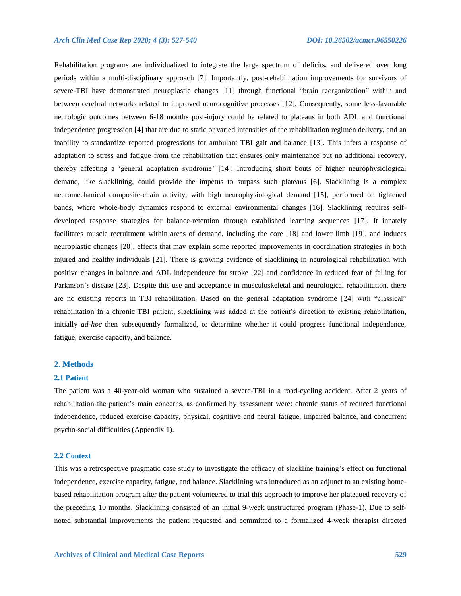Rehabilitation programs are individualized to integrate the large spectrum of deficits, and delivered over long periods within a multi-disciplinary approach [7]. Importantly, post-rehabilitation improvements for survivors of severe-TBI have demonstrated neuroplastic changes [11] through functional "brain reorganization" within and between cerebral networks related to improved neurocognitive processes [12]. Consequently, some less-favorable neurologic outcomes between 6-18 months post-injury could be related to plateaus in both ADL and functional independence progression [4] that are due to static or varied intensities of the rehabilitation regimen delivery, and an inability to standardize reported progressions for ambulant TBI gait and balance [13]. This infers a response of adaptation to stress and fatigue from the rehabilitation that ensures only maintenance but no additional recovery, thereby affecting a 'general adaptation syndrome' [14]. Introducing short bouts of higher neurophysiological demand, like slacklining, could provide the impetus to surpass such plateaus [6]. Slacklining is a complex neuromechanical composite-chain activity, with high neurophysiological demand [15], performed on tightened bands, where whole-body dynamics respond to external environmental changes [16]. Slacklining requires selfdeveloped response strategies for balance-retention through established learning sequences [17]. It innately facilitates muscle recruitment within areas of demand, including the core [18] and lower limb [19], and induces neuroplastic changes [20], effects that may explain some reported improvements in coordination strategies in both injured and healthy individuals [21]. There is growing evidence of slacklining in neurological rehabilitation with positive changes in balance and ADL independence for stroke [22] and confidence in reduced fear of falling for Parkinson's disease [23]. Despite this use and acceptance in musculoskeletal and neurological rehabilitation, there are no existing reports in TBI rehabilitation. Based on the general adaptation syndrome [24] with "classical" rehabilitation in a chronic TBI patient, slacklining was added at the patient's direction to existing rehabilitation, initially *ad-hoc* then subsequently formalized, to determine whether it could progress functional independence, fatigue, exercise capacity, and balance.

#### **2. Methods**

#### **2.1 Patient**

The patient was a 40-year-old woman who sustained a severe-TBI in a road-cycling accident. After 2 years of rehabilitation the patient's main concerns, as confirmed by assessment were: chronic status of reduced functional independence, reduced exercise capacity, physical, cognitive and neural fatigue, impaired balance, and concurrent psycho-social difficulties (Appendix 1).

#### **2.2 Context**

This was a retrospective pragmatic case study to investigate the efficacy of slackline training's effect on functional independence, exercise capacity, fatigue, and balance. Slacklining was introduced as an adjunct to an existing homebased rehabilitation program after the patient volunteered to trial this approach to improve her plateaued recovery of the preceding 10 months. Slacklining consisted of an initial 9-week unstructured program (Phase-1). Due to selfnoted substantial improvements the patient requested and committed to a formalized 4-week therapist directed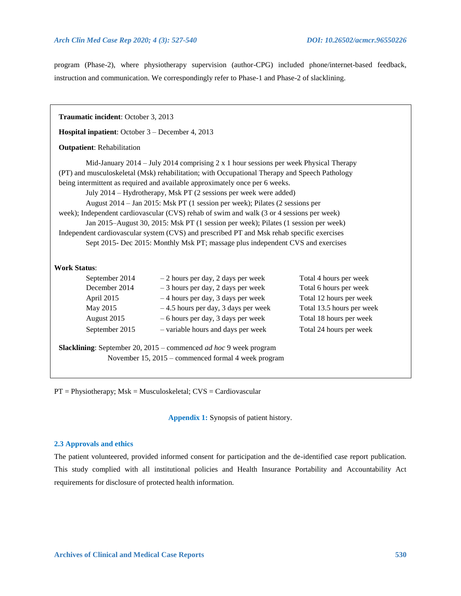program (Phase-2), where physiotherapy supervision (author-CPG) included phone/internet-based feedback, instruction and communication. We correspondingly refer to Phase-1 and Phase-2 of slacklining.

| Traumatic incident: October 3, 2013                                                                                                                                                                                                                                                                                                                                                                                                                                                                                                                                                                                                                                                                                                                                                                     |                                                                                                                                                                                                                                                                                                                                                                                |                                                                                                                                                                |  |  |  |  |  |  |  |
|---------------------------------------------------------------------------------------------------------------------------------------------------------------------------------------------------------------------------------------------------------------------------------------------------------------------------------------------------------------------------------------------------------------------------------------------------------------------------------------------------------------------------------------------------------------------------------------------------------------------------------------------------------------------------------------------------------------------------------------------------------------------------------------------------------|--------------------------------------------------------------------------------------------------------------------------------------------------------------------------------------------------------------------------------------------------------------------------------------------------------------------------------------------------------------------------------|----------------------------------------------------------------------------------------------------------------------------------------------------------------|--|--|--|--|--|--|--|
| Hospital inpatient: October 3 – December 4, 2013                                                                                                                                                                                                                                                                                                                                                                                                                                                                                                                                                                                                                                                                                                                                                        |                                                                                                                                                                                                                                                                                                                                                                                |                                                                                                                                                                |  |  |  |  |  |  |  |
| <b>Outpatient: Rehabilitation</b>                                                                                                                                                                                                                                                                                                                                                                                                                                                                                                                                                                                                                                                                                                                                                                       |                                                                                                                                                                                                                                                                                                                                                                                |                                                                                                                                                                |  |  |  |  |  |  |  |
| Mid-January 2014 – July 2014 comprising $2 \times 1$ hour sessions per week Physical Therapy<br>(PT) and musculoskeletal (Msk) rehabilitation; with Occupational Therapy and Speech Pathology<br>being intermittent as required and available approximately once per 6 weeks.<br>July 2014 – Hydrotherapy, Msk PT (2 sessions per week were added)<br>August 2014 – Jan 2015: Msk PT (1 session per week); Pilates (2 sessions per<br>week); Independent cardiovascular (CVS) rehab of swim and walk (3 or 4 sessions per week)<br>Jan 2015–August 30, 2015: Msk PT (1 session per week); Pilates (1 session per week)<br>Independent cardiovascular system (CVS) and prescribed PT and Msk rehab specific exercises<br>Sept 2015- Dec 2015: Monthly Msk PT; massage plus independent CVS and exercises |                                                                                                                                                                                                                                                                                                                                                                                |                                                                                                                                                                |  |  |  |  |  |  |  |
| <b>Work Status:</b><br>September 2014<br>December 2014<br>April 2015<br>May 2015<br>August 2015<br>September 2015                                                                                                                                                                                                                                                                                                                                                                                                                                                                                                                                                                                                                                                                                       | $-2$ hours per day, 2 days per week<br>- 3 hours per day, 2 days per week<br>-4 hours per day, 3 days per week<br>$-4.5$ hours per day, 3 days per week<br>- 6 hours per day, 3 days per week<br>- variable hours and days per week<br><b>Slacklining</b> : September 20, 2015 – commenced <i>ad hoc</i> 9 week program<br>November 15, 2015 – commenced formal 4 week program | Total 4 hours per week<br>Total 6 hours per week<br>Total 12 hours per week<br>Total 13.5 hours per week<br>Total 18 hours per week<br>Total 24 hours per week |  |  |  |  |  |  |  |

 $PT = Physiotherapy$ ; Msk = Musculoskeletal;  $CVS = Cardiovascular$ 

**Appendix 1:** Synopsis of patient history.

# **2.3 Approvals and ethics**

The patient volunteered, provided informed consent for participation and the de-identified case report publication. This study complied with all institutional policies and Health Insurance Portability and Accountability Act requirements for disclosure of protected health information.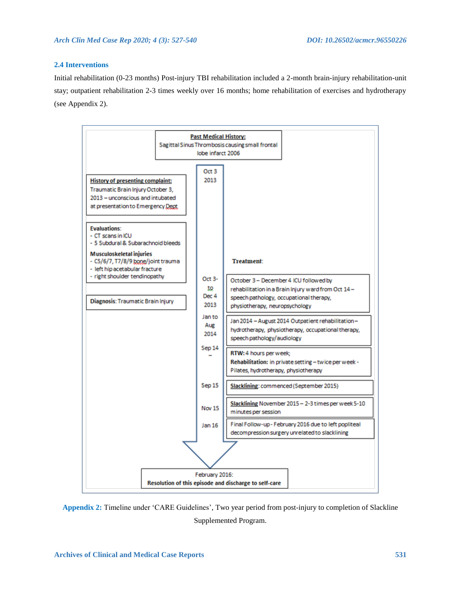# **2.4 Interventions**

Initial rehabilitation (0-23 months) Post-injury TBI rehabilitation included a 2-month brain-injury rehabilitation-unit stay; outpatient rehabilitation 2-3 times weekly over 16 months; home rehabilitation of exercises and hydrotherapy (see Appendix 2).



**Appendix 2:** Timeline under 'CARE Guidelines', Two year period from post-injury to completion of Slackline Supplemented Program.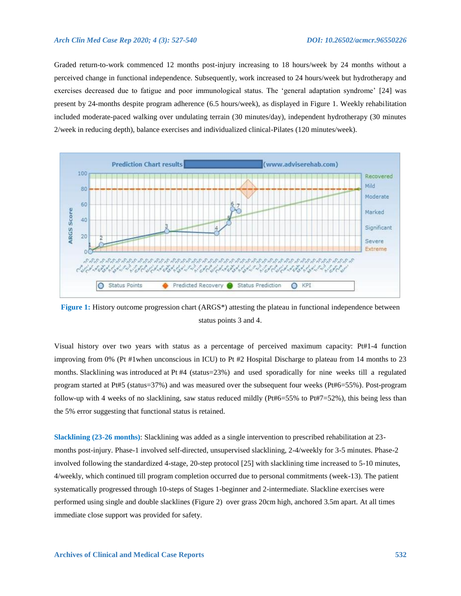Graded return-to-work commenced 12 months post-injury increasing to 18 hours/week by 24 months without a perceived change in functional independence. Subsequently, work increased to 24 hours/week but hydrotherapy and exercises decreased due to fatigue and poor immunological status. The 'general adaptation syndrome' [24] was present by 24-months despite program adherence (6.5 hours/week), as displayed in Figure 1. Weekly rehabilitation included moderate-paced walking over undulating terrain (30 minutes/day), independent hydrotherapy (30 minutes 2/week in reducing depth), balance exercises and individualized clinical-Pilates (120 minutes/week).



**Figure 1:** History outcome progression chart (ARGS<sup>\*</sup>) attesting the plateau in functional independence between status points 3 and 4.

Visual history over two years with status as a percentage of perceived maximum capacity: Pt#1-4 function improving from 0% (Pt #1when unconscious in ICU) to Pt #2 Hospital Discharge to plateau from 14 months to 23 months. Slacklining was introduced at Pt #4 (status=23%) and used sporadically for nine weeks till a regulated program started at Pt#5 (status=37%) and was measured over the subsequent four weeks (Pt#6=55%). Post-program follow-up with 4 weeks of no slacklining, saw status reduced mildly ( $Pt#6=55\%$  to  $Pt#7=52\%$ ), this being less than the 5% error suggesting that functional status is retained.

**Slacklining (23-26 months)**: Slacklining was added as a single intervention to prescribed rehabilitation at 23 months post-injury. Phase-1 involved self-directed, unsupervised slacklining, 2-4/weekly for 3-5 minutes. Phase-2 involved following the standardized 4-stage, 20-step protocol [25] with slacklining time increased to 5-10 minutes, 4/weekly, which continued till program completion occurred due to personal commitments (week-13). The patient systematically progressed through 10-steps of Stages 1-beginner and 2-intermediate. Slackline exercises were performed using single and double slacklines (Figure 2) over grass 20cm high, anchored 3.5m apart. At all times immediate close support was provided for safety.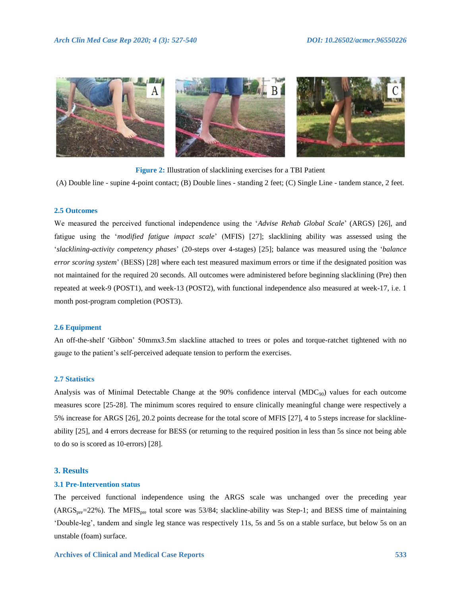

**Figure 2:** Illustration of slacklining exercises for a TBI Patient

(A) Double line - supine 4-point contact; (B) Double lines - standing 2 feet; (C) Single Line - tandem stance, 2 feet.

#### **2.5 Outcomes**

We measured the perceived functional independence using the '*Advise Rehab Global Scale*' (ARGS) [26], and fatigue using the '*modified fatigue impact scale*' (MFIS) [27]; slacklining ability was assessed using the '*slacklining-activity competency phases*' (20-steps over 4-stages) [25]; balance was measured using the '*balance error scoring system*' (BESS) [28] where each test measured maximum errors or time if the designated position was not maintained for the required 20 seconds. All outcomes were administered before beginning slacklining (Pre) then repeated at week-9 (POST1), and week-13 (POST2), with functional independence also measured at week-17, i.e. 1 month post-program completion (POST3).

### **2.6 Equipment**

An off-the-shelf 'Gibbon' 50mmx3.5m slackline attached to trees or poles and torque-ratchet tightened with no gauge to the patient's self-perceived adequate tension to perform the exercises.

#### **2.7 Statistics**

Analysis was of Minimal Detectable Change at the  $90\%$  confidence interval  $(MDC_{90})$  values for each outcome measures score [25-28]. The minimum scores required to ensure clinically meaningful change were respectively a 5% increase for ARGS [26], 20.2 points decrease for the total score of MFIS [27], 4 to 5 steps increase for slacklineability [25], and 4 errors decrease for BESS (or returning to the required position in less than 5s since not being able to do so is scored as 10-errors) [28].

#### **3. Results**

#### **3.1 Pre-Intervention status**

The perceived functional independence using the ARGS scale was unchanged over the preceding year (ARGSpre=22%). The MFISpre total score was 53/84; slackline-ability was Step-1; and BESS time of maintaining 'Double-leg', tandem and single leg stance was respectively 11s, 5s and 5s on a stable surface, but below 5s on an unstable (foam) surface.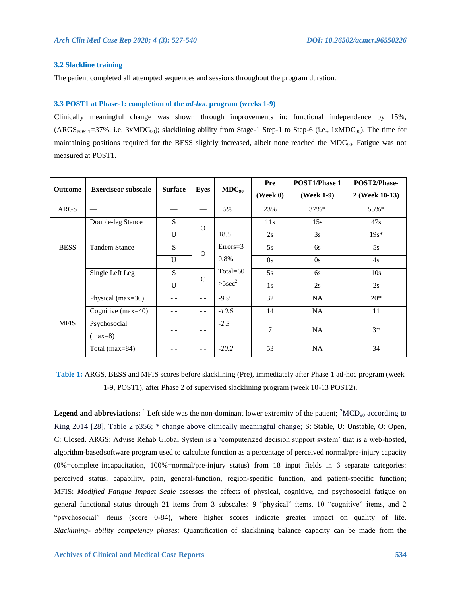#### **3.2 Slackline training**

The patient completed all attempted sequences and sessions throughout the program duration.

#### **3.3 POST1 at Phase-1: completion of the** *ad-hoc* **program (weeks 1-9)**

Clinically meaningful change was shown through improvements in: functional independence by 15%,  $(ARGS_{POST1}=37\%$ , i.e.  $3xMDC_{90}$ ; slacklining ability from Stage-1 Step-1 to Step-6 (i.e., 1xMDC<sub>90</sub>). The time for maintaining positions required for the BESS slightly increased, albeit none reached the MDC90. Fatigue was not measured at POST1.

| Outcome     | <b>Exerciseor subscale</b> | <b>Surface</b> | <b>Eyes</b>   | $MDC_{90}$   | Pre<br>$( \text{Week } 0)$ | <b>POST1/Phase 1</b><br>(Week 1-9) | POST2/Phase-<br>2 (Week 10-13) |
|-------------|----------------------------|----------------|---------------|--------------|----------------------------|------------------------------------|--------------------------------|
| ARGS        |                            |                |               | $+5%$        | 23%                        | $37\% *$                           | 55%*                           |
| <b>BESS</b> | Double-leg Stance          | S              | $\Omega$      |              | 11s                        | 15s                                | 47s                            |
|             |                            | $\mathbf U$    |               | 18.5         | 2s                         | 3s                                 | $19s*$                         |
|             | <b>Tandem Stance</b>       | S              | $\Omega$      | $Errors = 3$ | 5s                         | 6s                                 | 5s                             |
|             |                            | U              |               | 0.8%         | 0s                         | 0s                                 | 4s                             |
|             | Single Left Leg            | S              | $\mathcal{C}$ | $Total=60$   | 5s                         | 6s                                 | 10 <sub>s</sub>                |
|             |                            | U              |               | $>5sec^2$    | 1s                         | 2s                                 | 2s                             |
| <b>MFIS</b> | Physical (max=36)          | - -            | $ -$          | $-9.9$       | 32                         | <b>NA</b>                          | $20*$                          |
|             | Cognitive ( $max=40$ )     |                | $ -$          | $-10.6$      | 14                         | <b>NA</b>                          | 11                             |
|             | Psychosocial<br>$(max=8)$  |                |               | $-2.3$       | 7                          | <b>NA</b>                          | $3*$                           |
|             | Total $(max=84)$           |                |               | $-20.2$      | 53                         | <b>NA</b>                          | 34                             |

**Table 1:** ARGS, BESS and MFIS scores before slacklining (Pre), immediately after Phase 1 ad-hoc program (week 1-9, POST1), after Phase 2 of supervised slacklining program (week 10-13 POST2).

**Legend and abbreviations:** <sup>1</sup> Left side was the non-dominant lower extremity of the patient; <sup>2</sup>MCD<sub>90</sub> according to King 2014 [28], Table 2 p356; \* change above clinically meaningful change; S: Stable, U: Unstable, O: Open, C: Closed. ARGS: Advise Rehab Global System is a 'computerized decision support system' that is a web-hosted, algorithm-basedsoftware program used to calculate function as a percentage of perceived normal/pre-injury capacity (0%=complete incapacitation, 100%=normal/pre-injury status) from 18 input fields in 6 separate categories: perceived status, capability, pain, general-function, region-specific function, and patient-specific function; MFIS: *Modified Fatigue Impact Scale* assesses the effects of physical, cognitive, and psychosocial fatigue on general functional status through 21 items from 3 subscales: 9 "physical" items, 10 "cognitive" items, and 2 "psychosocial" items (score 0-84), where higher scores indicate greater impact on quality of life. *Slacklining- ability competency phases:* Quantification of slacklining balance capacity can be made from the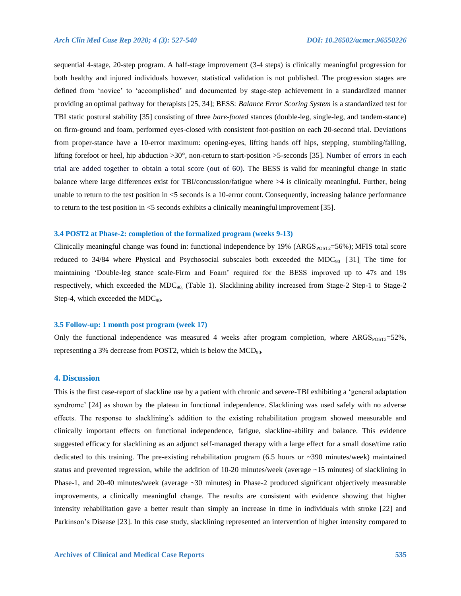sequential 4-stage, 20-step program. A half-stage improvement (3-4 steps) is clinically meaningful progression for both healthy and injured individuals however, statistical validation is not published. The progression stages are defined from 'novice' to 'accomplished' and documented by stage-step achievement in a standardized manner providing an optimal pathway for therapists [25, 34]; BESS: *Balance Error Scoring System* is a standardized test for TBI static postural stability [35] consisting of three *bare-footed* stances (double-leg, single-leg, and tandem-stance) on firm-ground and foam, performed eyes-closed with consistent foot-position on each 20-second trial. Deviations from proper-stance have a 10-error maximum: opening-eyes, lifting hands off hips, stepping, stumbling/falling, lifting forefoot or heel, hip abduction >30°, non-return to start-position >5-seconds [35]. Number of errors in each trial are added together to obtain a total score (out of 60). The BESS is valid for meaningful change in static balance where large differences exist for TBI/concussion/fatigue where >4 is clinically meaningful. Further, being unable to return to the test position in <5 seconds is a 10-error count. Consequently, increasing balance performance to return to the test position in <5 seconds exhibits a clinically meaningful improvement [35].

#### **3.4 POST2 at Phase-2: completion of the formalized program (weeks 9-13)**

Clinically meaningful change was found in: functional independence by 19% ( $ARGS<sub>POST2</sub>=56%$ ); MFIS total score reduced to 34/84 where Physical and Psychosocial subscales both exceeded the  $MDC_{90}$  [[31\]](file:///C:/Users/Manikanta%20Reddy/Downloads/1350-Article%20Text-6181-2-2-20200218.docx%23_bookmark30). The time for maintaining 'Double-leg stance scale-Firm and Foam' required for the BESS improved up to 47s and 19s respectively, which exceeded the MDC<sub>90</sub> (Table 1). Slacklining ability increased from Stage-2 Step-1 to Stage-2 Step-4, which exceeded the  $MDC_{90}$ .

#### **3.5 Follow-up: 1 month post program (week 17)**

Only the functional independence was measured 4 weeks after program completion, where  $ARGS<sub>POST3</sub>=52\%$ , representing a 3% decrease from POST2, which is below the  $\text{MCD}_{90}$ .

# **4. Discussion**

This is the first case-report of slackline use by a patient with chronic and severe-TBI exhibiting a 'general adaptation syndrome' [24] as shown by the plateau in functional independence. Slacklining was used safely with no adverse effects. The response to slacklining's addition to the existing rehabilitation program showed measurable and clinically important effects on functional independence, fatigue, slackline-ability and balance. This evidence suggested efficacy for slacklining as an adjunct self-managed therapy with a large effect for a small dose/time ratio dedicated to this training. The pre-existing rehabilitation program (6.5 hours or ~390 minutes/week) maintained status and prevented regression, while the addition of 10-20 minutes/week (average ~15 minutes) of slacklining in Phase-1, and 20-40 minutes/week (average ~30 minutes) in Phase-2 produced significant objectively measurable improvements, a clinically meaningful change. The results are consistent with evidence showing that higher intensity rehabilitation gave a better result than simply an increase in time in individuals with stroke [22] and Parkinson's Disease [23]. In this case study, slacklining represented an intervention of higher intensity compared to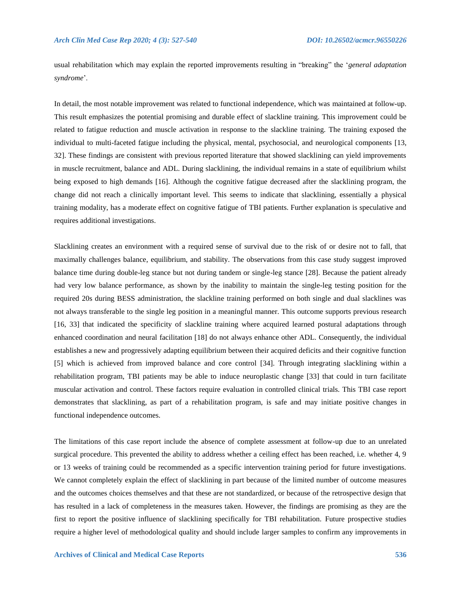usual rehabilitation which may explain the reported improvements resulting in "breaking" the '*general adaptation syndrome*'.

In detail, the most notable improvement was related to functional independence, which was maintained at follow-up. This result emphasizes the potential promising and durable effect of slackline training. This improvement could be related to fatigue reduction and muscle activation in response to the slackline training. The training exposed the individual to multi-faceted fatigue including the physical, mental, psychosocial, and neurological components [13, 32]. These findings are consistent with previous reported literature that showed slacklining can yield improvements in muscle recruitment, balance and ADL. During slacklining, the individual remains in a state of equilibrium whilst being exposed to high demands [16]. Although the cognitive fatigue decreased after the slacklining program, the change did not reach a clinically important level. This seems to indicate that slacklining, essentially a physical training modality, has a moderate effect on cognitive fatigue of TBI patients. Further explanation is speculative and requires additional investigations.

Slacklining creates an environment with a required sense of survival due to the risk of or desire not to fall, that maximally challenges balance, equilibrium, and stability. The observations from this case study suggest improved balance time during double-leg stance but not during tandem or single-leg stance [28]. Because the patient already had very low balance performance, as shown by the inability to maintain the single-leg testing position for the required 20s during BESS administration, the slackline training performed on both single and dual slacklines was not always transferable to the single leg position in a meaningful manner. This outcome supports previous research [16, 33] that indicated the specificity of slackline training where acquired learned postural adaptations through enhanced coordination and neural facilitation [18] do not always enhance other ADL. Consequently, the individual establishes a new and progressively adapting equilibrium between their acquired deficits and their cognitive function [5] which is achieved from improved balance and core control [34]. Through integrating slacklining within a rehabilitation program, TBI patients may be able to induce neuroplastic change [33] that could in turn facilitate muscular activation and control. These factors require evaluation in controlled clinical trials. This TBI case report demonstrates that slacklining, as part of a rehabilitation program, is safe and may initiate positive changes in functional independence outcomes.

The limitations of this case report include the absence of complete assessment at follow-up due to an unrelated surgical procedure. This prevented the ability to address whether a ceiling effect has been reached, i.e. whether 4, 9 or 13 weeks of training could be recommended as a specific intervention training period for future investigations. We cannot completely explain the effect of slacklining in part because of the limited number of outcome measures and the outcomes choices themselves and that these are not standardized, or because of the retrospective design that has resulted in a lack of completeness in the measures taken. However, the findings are promising as they are the first to report the positive influence of slacklining specifically for TBI rehabilitation. Future prospective studies require a higher level of methodological quality and should include larger samples to confirm any improvements in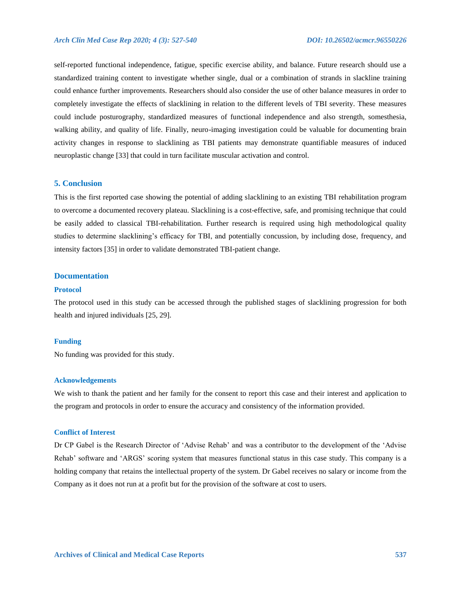self-reported functional independence, fatigue, specific exercise ability, and balance. Future research should use a standardized training content to investigate whether single, dual or a combination of strands in slackline training could enhance further improvements. Researchers should also consider the use of other balance measures in order to completely investigate the effects of slacklining in relation to the different levels of TBI severity. These measures could include posturography, standardized measures of functional independence and also strength, somesthesia, walking ability, and quality of life. Finally, neuro-imaging investigation could be valuable for documenting brain activity changes in response to slacklining as TBI patients may demonstrate quantifiable measures of induced neuroplastic change [33] that could in turn facilitate muscular activation and control.

# **5. Conclusion**

This is the first reported case showing the potential of adding slacklining to an existing TBI rehabilitation program to overcome a documented recovery plateau. Slacklining is a cost-effective, safe, and promising technique that could be easily added to classical TBI-rehabilitation. Further research is required using high methodological quality studies to determine slacklining's efficacy for TBI, and potentially concussion, by including dose, frequency, and intensity factors [35] in order to validate demonstrated TBI-patient change.

#### **Documentation**

#### **Protocol**

The protocol used in this study can be accessed through the published stages of slacklining progression for both health and injured individuals [25, 29].

#### **Funding**

No funding was provided for this study.

#### **Acknowledgements**

We wish to thank the patient and her family for the consent to report this case and their interest and application to the program and protocols in order to ensure the accuracy and consistency of the information provided.

#### **Conflict of Interest**

Dr CP Gabel is the Research Director of 'Advise Rehab' and was a contributor to the development of the 'Advise Rehab' software and 'ARGS' scoring system that measures functional status in this case study. This company is a holding company that retains the intellectual property of the system. Dr Gabel receives no salary or income from the Company as it does not run at a profit but for the provision of the software at cost to users.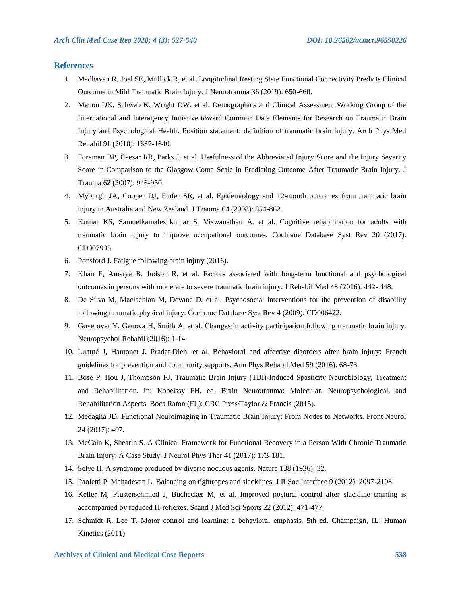# **References**

- 1. Madhavan R, Joel SE, Mullick R, et al. Longitudinal Resting State Functional Connectivity Predicts Clinical Outcome in Mild Traumatic Brain Injury. J Neurotrauma 36 (2019): 650-660.
- 2. Menon DK, Schwab K, Wright DW, et al. Demographics and Clinical Assessment Working Group of the International and Interagency Initiative toward Common Data Elements for Research on Traumatic Brain Injury and Psychological Health. Position statement: definition of traumatic brain injury. Arch Phys Med Rehabil 91 (2010): 1637-1640.
- 3. Foreman BP, Caesar RR, Parks J, et al. Usefulness of the Abbreviated Injury Score and the Injury Severity Score in Comparison to the Glasgow Coma Scale in Predicting Outcome After Traumatic Brain Injury. J Trauma 62 (2007): 946-950.
- 4. Myburgh JA, Cooper DJ, Finfer SR, et al. Epidemiology and 12-month outcomes from traumatic brain injury in Australia and New Zealand. J Trauma 64 (2008): 854-862.
- 5. Kumar KS, Samuelkamaleshkumar S, Viswanathan A, et al. Cognitive rehabilitation for adults with traumatic brain injury to improve occupational outcomes. Cochrane Database Syst Rev 20 (2017): CD007935.
- 6. Ponsford J. Fatigue following brain injury (2016).
- 7. Khan F, Amatya B, Judson R, et al. Factors associated with long-term functional and psychological outcomes in persons with moderate to severe traumatic brain injury. J Rehabil Med 48 (2016): 442- 448.
- 8. De Silva M, Maclachlan M, Devane D, et al. Psychosocial interventions for the prevention of disability following traumatic physical injury. Cochrane Database Syst Rev 4 (2009): CD006422.
- 9. Goverover Y, Genova H, Smith A, et al. Changes in activity participation following traumatic brain injury. Neuropsychol Rehabil (2016): 1-14
- 10. Luauté J, Hamonet J, Pradat-Dieh, et al. Behavioral and affective disorders after brain injury: French guidelines for prevention and community supports. Ann Phys Rehabil Med 59 (2016): 68-73.
- 11. Bose P, Hou J, Thompson FJ. Traumatic Brain Injury (TBI)-Induced Spasticity Neurobiology, Treatment and Rehabilitation. In: Kobeissy FH, ed. Brain Neurotrauma: Molecular, Neuropsychological, and Rehabilitation Aspects. Boca Raton (FL): CRC Press/Taylor & Francis (2015).
- 12. Medaglia JD. Functional Neuroimaging in Traumatic Brain Injury: From Nodes to Networks. Front Neurol 24 (2017): 407.
- 13. McCain K, Shearin S. A Clinical Framework for Functional Recovery in a Person With Chronic Traumatic Brain Injury: A Case Study. J Neurol Phys Ther 41 (2017): 173-181.
- 14. Selye H. A syndrome produced by diverse nocuous agents. Nature 138 (1936): 32.
- 15. Paoletti P, Mahadevan L. Balancing on tightropes and slacklines. J R Soc Interface 9 (2012): 2097-2108.
- 16. Keller M, Pfusterschmied J, Buchecker M, et al. Improved postural control after slackline training is accompanied by reduced H-reflexes. Scand J Med Sci Sports 22 (2012): 471-477.
- 17. Schmidt R, Lee T. Motor control and learning: a behavioral emphasis. 5th ed. Champaign, IL: Human Kinetics (2011).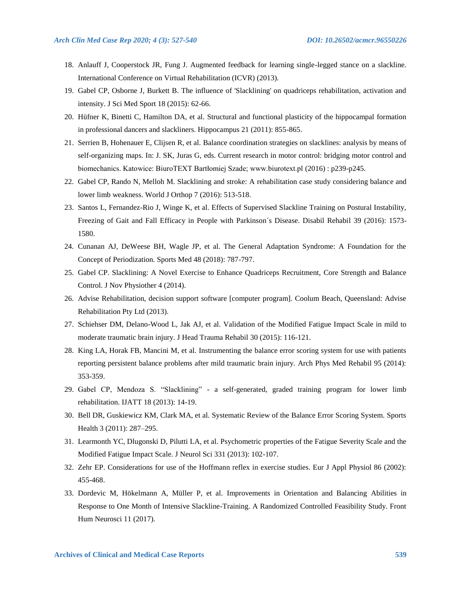- 18. Anlauff J, Cooperstock JR, Fung J. Augmented feedback for learning single-legged stance on a slackline. International Conference on Virtual Rehabilitation (ICVR) (2013).
- 19. Gabel CP, Osborne J, Burkett B. The influence of 'Slacklining' on quadriceps rehabilitation, activation and intensity. J Sci Med Sport 18 (2015): 62-66.
- 20. Hüfner K, Binetti C, Hamilton DA, et al. Structural and functional plasticity of the hippocampal formation in professional dancers and slackliners. Hippocampus 21 (2011): 855-865.
- 21. Serrien B, Hohenauer E, Clijsen R, et al. Balance coordination strategies on slacklines: analysis by means of self-organizing maps. In: J. SK, Juras G, eds. Current research in motor control: bridging motor control and biomechanics. Katowice: BiuroTEXT Bartłomiej Szade; www.biurotext.pl (2016) : p239-p245.
- 22. Gabel CP, Rando N, Melloh M. Slacklining and stroke: A rehabilitation case study considering balance and lower limb weakness. World J Orthop 7 (2016): 513-518.
- 23. Santos L, Fernandez-Rio J, Winge K, et al. Effects of Supervised Slackline Training on Postural Instability, Freezing of Gait and Fall Efficacy in People with Parkinson´s Disease. Disabil Rehabil 39 (2016): 1573- 1580.
- 24. Cunanan AJ, DeWeese BH, Wagle JP, et al. The General Adaptation Syndrome: A Foundation for the Concept of Periodization. Sports Med 48 (2018): 787-797.
- 25. Gabel CP. Slacklining: A Novel Exercise to Enhance Quadriceps Recruitment, Core Strength and Balance Control. J Nov Physiother 4 (2014).
- 26. Advise Rehabilitation, decision support software [computer program]. Coolum Beach, Queensland: Advise Rehabilitation Pty Ltd (2013).
- 27. Schiehser DM, Delano-Wood L, Jak AJ, et al. Validation of the Modified Fatigue Impact Scale in mild to moderate traumatic brain injury. J Head Trauma Rehabil 30 (2015): 116-121.
- 28. King LA, Horak FB, Mancini M, et al. Instrumenting the balance error scoring system for use with patients reporting persistent balance problems after mild traumatic brain injury. Arch Phys Med Rehabil 95 (2014): 353-359.
- 29. Gabel CP, Mendoza S. "Slacklining" a self-generated, graded training program for lower limb rehabilitation. IJATT 18 (2013): 14-19.
- 30. Bell DR, Guskiewicz KM, Clark MA, et al. Systematic Review of the Balance Error Scoring System. Sports Health 3 (2011): 287–295.
- 31. Learmonth YC, Dlugonski D, Pilutti LA, et al. Psychometric properties of the Fatigue Severity Scale and the Modified Fatigue Impact Scale. J Neurol Sci 331 (2013): 102-107.
- 32. Zehr EP. Considerations for use of the Hoffmann reflex in exercise studies. Eur J Appl Physiol 86 (2002): 455-468.
- 33. Dordevic M, Hökelmann A, Müller P, et al. Improvements in Orientation and Balancing Abilities in Response to One Month of Intensive Slackline-Training. A Randomized Controlled Feasibility Study. Front Hum Neurosci 11 (2017).